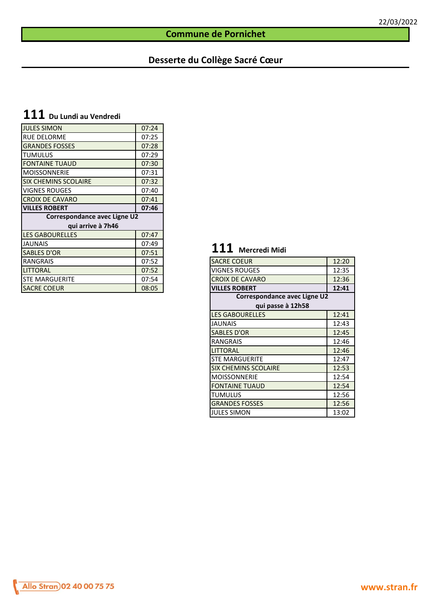#### **Commune de Pornichet**

### **Desserte du Collège Sacré Cœur**

# **111 Du Lundi au Vendredi**

| <b>JULES SIMON</b>           | 07:24 |                                    |       |
|------------------------------|-------|------------------------------------|-------|
| <b>RUE DELORME</b>           | 07:25 |                                    |       |
| <b>GRANDES FOSSES</b>        | 07:28 |                                    |       |
| <b>TUMULUS</b>               | 07:29 |                                    |       |
| <b>FONTAINE TUAUD</b>        | 07:30 |                                    |       |
| <b>MOISSONNERIE</b>          | 07:31 |                                    |       |
| <b>SIX CHEMINS SCOLAIRE</b>  | 07:32 |                                    |       |
| <b>VIGNES ROUGES</b>         | 07:40 |                                    |       |
| <b>CROIX DE CAVARO</b>       | 07:41 |                                    |       |
| <b>VILLES ROBERT</b>         | 07:46 |                                    |       |
| Correspondance avec Ligne U2 |       |                                    |       |
| qui arrive à 7h46            |       |                                    |       |
| <b>LES GABOURELLES</b>       | 07:47 |                                    |       |
| <b>JAUNAIS</b>               | 07:49 |                                    |       |
| <b>SABLES D'OR</b>           | 07:51 | <b>111</b><br><b>Mercredi Midi</b> |       |
| <b>RANGRAIS</b>              | 07:52 | <b>SACRE COEUR</b>                 | 12:20 |
| <b>LITTORAL</b>              | 07:52 | <b>VIGNES ROUGES</b>               | 12:35 |
| <b>I</b> STE MARGUERITE      | 07:54 | <b>CROIX DE CAVARO</b>             | 12:36 |
| <b>SACRE COEUR</b>           | 08:05 | <b>VILLES ROBERT</b>               | 12:41 |
|                              |       |                                    |       |

# **111 Mercredi Midi**

| <b>SACRE COEUR</b>           | 12:20 |
|------------------------------|-------|
| <b>VIGNES ROUGES</b>         | 12:35 |
| <b>CROIX DE CAVARO</b>       | 12:36 |
| <b>VILLES ROBERT</b>         | 12:41 |
| Correspondance avec Ligne U2 |       |
| qui passe à 12h58            |       |
| <b>LES GABOURELLES</b>       | 12:41 |
| <b>JAUNAIS</b>               | 12:43 |
| <b>SABLES D'OR</b>           | 12:45 |
| <b>RANGRAIS</b>              | 12:46 |
| <b>LITTORAL</b>              | 12:46 |
| <b>STE MARGUERITE</b>        | 12:47 |
| <b>SIX CHEMINS SCOLAIRE</b>  | 12:53 |
| <b>MOISSONNERIE</b>          | 12:54 |
| <b>FONTAINE TUAUD</b>        | 12:54 |
| <b>TUMULUS</b>               | 12:56 |
| <b>GRANDES FOSSES</b>        | 12:56 |
| <b>JULES SIMON</b>           | 13:02 |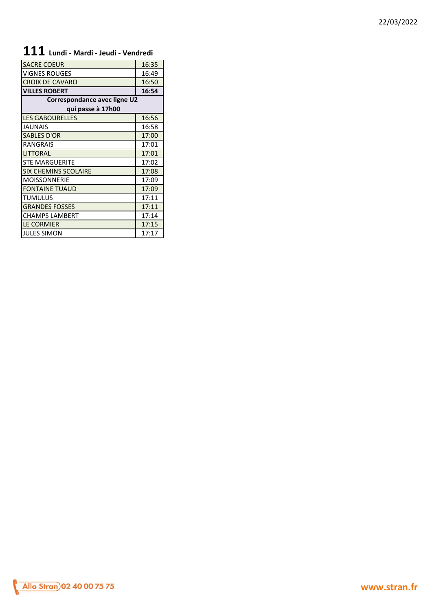# **111 Lundi - Mardi - Jeudi - Vendredi**

| <b>SACRE COEUR</b>           | 16:35 |
|------------------------------|-------|
| <b>VIGNES ROUGES</b>         | 16:49 |
| <b>CROIX DE CAVARO</b>       | 16:50 |
| <b>VILLES ROBERT</b>         | 16:54 |
| Correspondance avec ligne U2 |       |
| qui passe à 17h00            |       |
| <b>LES GABOURELLES</b>       | 16:56 |
| <b>JAUNAIS</b>               | 16:58 |
| <b>SABLES D'OR</b>           | 17:00 |
| <b>RANGRAIS</b>              | 17:01 |
| <b>LITTORAL</b>              | 17:01 |
| <b>STE MARGUERITE</b>        | 17:02 |
| <b>SIX CHEMINS SCOLAIRE</b>  | 17:08 |
| <b>MOISSONNERIE</b>          | 17:09 |
| <b>FONTAINE TUAUD</b>        | 17:09 |
| <b>TUMULUS</b>               | 17:11 |
| <b>GRANDES FOSSES</b>        | 17:11 |
| <b>CHAMPS LAMBERT</b>        | 17:14 |
| <b>LE CORMIER</b>            | 17:15 |
| <b>JULES SIMON</b>           | 17:17 |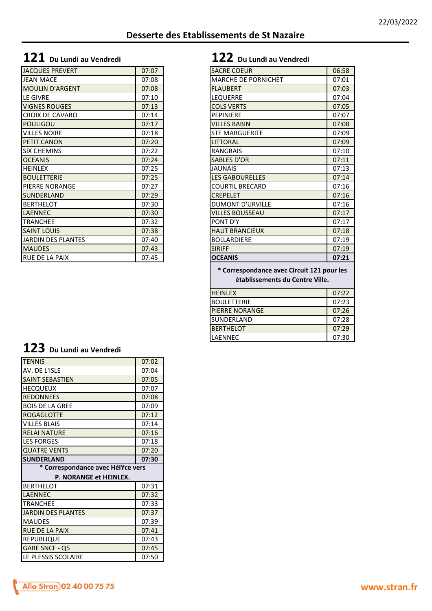### **Desserte des Etablissements de St Nazaire**

# **121 Du Lundi au Vendredi 122 Du Lundi au Vendredi**

| <b>JACQUES PREVERT</b> | 07:07 | <b>SACRE COEUR</b>         | 06:58 |
|------------------------|-------|----------------------------|-------|
| <b>JEAN MACE</b>       | 07:08 | <b>MARCHE DE PORNICHET</b> | 07:01 |
| <b>MOULIN D'ARGENT</b> | 07:08 | <b>FLAUBERT</b>            | 07:03 |
| LE GIVRE               | 07:10 | <b>LEQUERRE</b>            | 07:04 |
| <b>VIGNES ROUGES</b>   | 07:13 | <b>COLS VERTS</b>          | 07:05 |
| <b>CROIX DE CAVARO</b> | 07:14 | <b>PEPINIERE</b>           | 07:07 |
| <b>POULIGOU</b>        | 07:17 | <b>VILLES BABIN</b>        | 07:08 |
| <b>VILLES NOIRE</b>    | 07:18 | <b>STE MARGUERITE</b>      | 07:09 |
| <b>PETIT CANON</b>     | 07:20 | <b>LITTORAL</b>            | 07:09 |
| <b>SIX CHEMINS</b>     | 07:22 | <b>RANGRAIS</b>            | 07:10 |
| <b>OCEANIS</b>         | 07:24 | <b>SABLES D'OR</b>         | 07:11 |
| <b>HEINLEX</b>         | 07:25 | <b>JAUNAIS</b>             | 07:13 |
| <b>BOULETTERIE</b>     | 07:25 | <b>LES GABOURELLES</b>     | 07:14 |
| <b>PIERRE NORANGE</b>  | 07:27 | <b>COURTIL BRECARD</b>     | 07:16 |
| <b>SUNDERLAND</b>      | 07:29 | <b>CREPELET</b>            | 07:16 |
| <b>BERTHELOT</b>       | 07:30 | <b>DUMONT D'URVILLE</b>    | 07:16 |
| <b>LAENNEC</b>         | 07:30 | <b>VILLES BOUSSEAU</b>     | 07:17 |
| <b>TRANCHEE</b>        | 07:32 | PONT D'Y                   | 07:17 |
| <b>SAINT LOUIS</b>     | 07:38 | <b>HAUT BRANCIEUX</b>      | 07:18 |
| JARDIN DES PLANTES     | 07:40 | <b>BOLLARDIERE</b>         | 07:19 |
| <b>MAUDES</b>          | 07:43 | <b>SIRIFF</b>              | 07:19 |
| <b>RUE DE LA PAIX</b>  | 07:45 | <b>OCEANIS</b>             | 07:21 |

| <b>JACQUES PREVERT</b>    | 07:07 | <b>SACRE COEUR</b>                         | 06:58 |
|---------------------------|-------|--------------------------------------------|-------|
| <b>JEAN MACE</b>          | 07:08 | MARCHE DE PORNICHET                        | 07:01 |
| <b>MOULIN D'ARGENT</b>    | 07:08 | <b>FLAUBERT</b>                            | 07:03 |
| <b>LE GIVRE</b>           | 07:10 | <b>LEQUERRE</b>                            | 07:04 |
| <b>VIGNES ROUGES</b>      | 07:13 | <b>COLS VERTS</b>                          | 07:05 |
| <b>CROIX DE CAVARO</b>    | 07:14 | <b>PEPINIERE</b>                           | 07:07 |
| <b>POULIGOU</b>           | 07:17 | <b>VILLES BABIN</b>                        | 07:08 |
| <b>VILLES NOIRE</b>       | 07:18 | <b>STE MARGUERITE</b>                      | 07:09 |
| PETIT CANON               | 07:20 | <b>LITTORAL</b>                            | 07:09 |
| <b>SIX CHEMINS</b>        | 07:22 | <b>RANGRAIS</b>                            | 07:10 |
| <b>OCEANIS</b>            | 07:24 | <b>SABLES D'OR</b>                         | 07:11 |
| <b>HEINLEX</b>            | 07:25 | <b>JAUNAIS</b>                             | 07:13 |
| <b>BOULETTERIE</b>        | 07:25 | <b>LES GABOURELLES</b>                     | 07:14 |
| PIERRE NORANGE            | 07:27 | <b>COURTIL BRECARD</b>                     | 07:16 |
| SUNDERLAND                | 07:29 | <b>CREPELET</b>                            | 07:16 |
| <b>BERTHELOT</b>          | 07:30 | <b>DUMONT D'URVILLE</b>                    | 07:16 |
| <b>LAENNEC</b>            | 07:30 | <b>VILLES BOUSSEAU</b>                     | 07:17 |
| <b>TRANCHEE</b>           | 07:32 | PONT D'Y                                   | 07:17 |
| <b>SAINT LOUIS</b>        | 07:38 | <b>HAUT BRANCIEUX</b>                      | 07:18 |
| <b>JARDIN DES PLANTES</b> | 07:40 | <b>BOLLARDIERE</b>                         | 07:19 |
| <b>MAUDES</b>             | 07:43 | <b>SIRIFF</b>                              | 07:19 |
| <b>RUE DE LA PAIX</b>     | 07:45 | <b>OCEANIS</b>                             | 07:21 |
|                           |       | * Correspondance avec Circuit 121 pour les |       |
|                           |       |                                            |       |
|                           |       | établissements du Centre Ville.            |       |
|                           |       | <b>HEINLEX</b>                             | 07:22 |
|                           |       | <b>BOULETTERIE</b>                         | 07:23 |
|                           |       | <b>PIERRE NORANGE</b>                      | 07:26 |
|                           |       | SUNDERLAND                                 | 07:28 |
|                           |       | <b>BERTHELOT</b>                           | 07:29 |
|                           |       | LAENNEC                                    | 07:30 |

# **123 Du Lundi au Vendredi**

| <b>TENNIS</b>                     | 07:02 |  |  |
|-----------------------------------|-------|--|--|
| AV. DE L'ISLE                     | 07:04 |  |  |
| <b>SAINT SEBASTIEN</b>            | 07:05 |  |  |
| <b>HECQUEUX</b>                   | 07:07 |  |  |
| <b>REDONNEES</b>                  | 07:08 |  |  |
| <b>BOIS DE LA GREE</b>            | 07:09 |  |  |
| <b>ROGAGLOTTE</b>                 | 07:12 |  |  |
| <b>VILLES BLAIS</b>               | 07:14 |  |  |
| <b>RELAI NATURE</b>               | 07:16 |  |  |
| <b>LES FORGES</b>                 | 07:18 |  |  |
| <b>QUATRE VENTS</b>               | 07:20 |  |  |
| <b>SUNDERLAND</b>                 | 07:30 |  |  |
| * Correspondance avec HélYce vers |       |  |  |
| P. NORANGE et HEINLEX.            |       |  |  |
| <b>BERTHELOT</b>                  | 07:31 |  |  |
| <b>LAENNEC</b>                    | 07:32 |  |  |
| <b>TRANCHEE</b>                   | 07:33 |  |  |
| <b>JARDIN DES PLANTES</b>         | 07:37 |  |  |
| <b>MAUDES</b>                     | 07:39 |  |  |
| <b>RUE DE LA PAIX</b>             | 07:41 |  |  |
| <b>REPUBLIQUE</b>                 | 07:43 |  |  |
| GARE SNCF - Q5                    | 07:45 |  |  |
| LE PLESSIS SCOLAIRE               | 07:50 |  |  |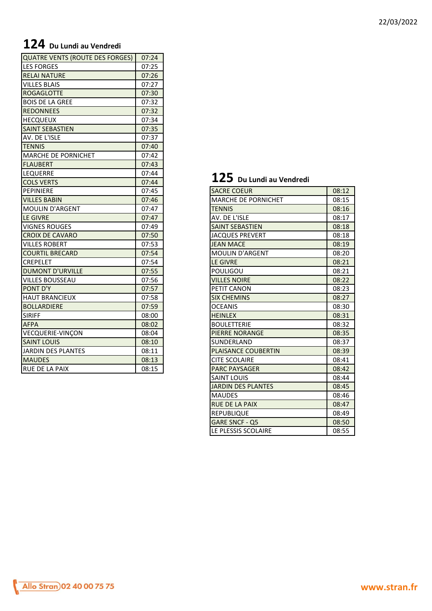# **124 Du Lundi au Vendredi**

| <b>QUATRE VENTS (ROUTE DES FORGES)</b> | 07:24 |                                  |       |
|----------------------------------------|-------|----------------------------------|-------|
| <b>LES FORGES</b>                      | 07:25 |                                  |       |
| <b>RELAI NATURE</b>                    | 07:26 |                                  |       |
| <b>VILLES BLAIS</b>                    | 07:27 |                                  |       |
| <b>ROGAGLOTTE</b>                      | 07:30 |                                  |       |
| <b>BOIS DE LA GREE</b>                 | 07:32 |                                  |       |
| <b>REDONNEES</b>                       | 07:32 |                                  |       |
| <b>HECQUEUX</b>                        | 07:34 |                                  |       |
| <b>SAINT SEBASTIEN</b>                 | 07:35 |                                  |       |
| AV. DE L'ISLE                          | 07:37 |                                  |       |
| <b>TENNIS</b>                          | 07:40 |                                  |       |
| <b>MARCHE DE PORNICHET</b>             | 07:42 |                                  |       |
| <b>FLAUBERT</b>                        | 07:43 |                                  |       |
| <b>LEQUERRE</b>                        | 07:44 |                                  |       |
| <b>COLS VERTS</b>                      | 07:44 | $\bf 125\,$ Du Lundi au Vendredi |       |
| PEPINIERE                              | 07:45 | <b>SACRE COEUR</b>               | 08:12 |
| <b>VILLES BABIN</b>                    | 07:46 | <b>MARCHE DE PORNICHET</b>       | 08:15 |
| <b>MOULIN D'ARGENT</b>                 | 07:47 | <b>TENNIS</b>                    | 08:16 |
| LE GIVRE                               | 07:47 | AV. DE L'ISLE                    | 08:17 |
| <b>VIGNES ROUGES</b>                   | 07:49 | <b>SAINT SEBASTIEN</b>           | 08:18 |
| <b>CROIX DE CAVARO</b>                 | 07:50 | <b>JACQUES PREVERT</b>           | 08:18 |
| <b>VILLES ROBERT</b>                   | 07:53 | <b>JEAN MACE</b>                 | 08:19 |
| <b>COURTIL BRECARD</b>                 | 07:54 | <b>MOULIN D'ARGENT</b>           | 08:20 |
| <b>CREPELET</b>                        | 07:54 | LE GIVRE                         | 08:21 |
| <b>DUMONT D'URVILLE</b>                | 07:55 | POULIGOU                         | 08:21 |
| <b>VILLES BOUSSEAU</b>                 | 07:56 | <b>VILLES NOIRE</b>              | 08:22 |
| PONT D'Y                               | 07:57 | PETIT CANON                      | 08:23 |
| <b>HAUT BRANCIEUX</b>                  | 07:58 | <b>SIX CHEMINS</b>               | 08:27 |
| <b>BOLLARDIERE</b>                     | 07:59 | <b>OCEANIS</b>                   | 08:30 |
| <b>SIRIFF</b>                          | 08:00 | <b>HEINLEX</b>                   | 08:31 |
| <b>AFPA</b>                            | 08:02 | <b>BOULETTERIE</b>               | 08:32 |
| <b>VECQUERIE-VINÇON</b>                | 08:04 | <b>PIERRE NORANGE</b>            | 08:35 |
| <b>SAINT LOUIS</b>                     | 08:10 | SUNDERLAND                       | 08:37 |
| JARDIN DES PLANTES                     | 08:11 | PLAISANCE COUBERTIN              | 08:39 |
| <b>MAUDES</b>                          | 08:13 | <b>CITE SCOLAIRE</b>             | 08:41 |
| RUE DE LA PAIX                         | 08:15 | <b>PARC PAYSAGER</b>             | 08:42 |

#### 22/03/2022

# **125 Du Lundi au Vendredi**

| <b>SACRE COEUR</b>         | 08:12 |
|----------------------------|-------|
| <b>MARCHE DE PORNICHET</b> | 08:15 |
| <b>TENNIS</b>              | 08:16 |
| AV. DE L'ISLE              | 08:17 |
| <b>SAINT SEBASTIEN</b>     | 08:18 |
| <b>JACQUES PREVERT</b>     | 08:18 |
| <b>JEAN MACE</b>           | 08:19 |
| <b>MOULIN D'ARGENT</b>     | 08:20 |
| <b>LE GIVRE</b>            | 08:21 |
| <b>POULIGOU</b>            | 08:21 |
| <b>VILLES NOIRE</b>        | 08:22 |
| PETIT CANON                | 08:23 |
| <b>SIX CHEMINS</b>         | 08:27 |
| <b>OCEANIS</b>             | 08:30 |
| <b>HEINLEX</b>             | 08:31 |
| <b>BOULETTERIE</b>         | 08:32 |
| PIERRE NORANGE             | 08:35 |
| SUNDERLAND                 | 08:37 |
| <b>PLAISANCE COUBERTIN</b> | 08:39 |
| <b>CITE SCOLAIRE</b>       | 08:41 |
| <b>PARC PAYSAGER</b>       | 08:42 |
| <b>SAINT LOUIS</b>         | 08:44 |
| <b>JARDIN DES PLANTES</b>  | 08:45 |
| <b>MAUDES</b>              | 08:46 |
| <b>RUE DE LA PAIX</b>      | 08:47 |
| <b>REPUBLIQUE</b>          | 08:49 |
| GARE SNCF - Q5             | 08:50 |
| LE PLESSIS SCOLAIRE        | 08:55 |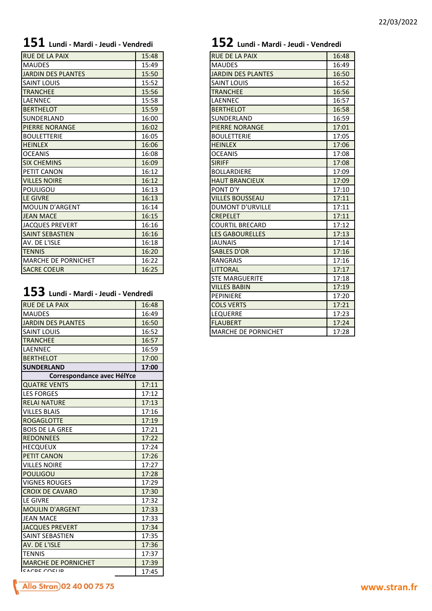| <b>RUE DE LA PAIX</b>      | 15:48 | <b>RUE DE LA PAIX</b>     | 16:48 |
|----------------------------|-------|---------------------------|-------|
| <b>MAUDES</b>              | 15:49 | <b>MAUDES</b>             | 16:49 |
| <b>JARDIN DES PLANTES</b>  | 15:50 | <b>JARDIN DES PLANTES</b> | 16:50 |
| <b>SAINT LOUIS</b>         | 15:52 | <b>SAINT LOUIS</b>        | 16:52 |
| <b>TRANCHEE</b>            | 15:56 | <b>TRANCHEE</b>           | 16:56 |
| LAENNEC                    | 15:58 | LAENNEC                   | 16:57 |
| <b>BERTHELOT</b>           | 15:59 | <b>BERTHELOT</b>          | 16:58 |
| SUNDERLAND                 | 16:00 | SUNDERLAND                | 16:59 |
| <b>PIERRE NORANGE</b>      | 16:02 | <b>PIERRE NORANGE</b>     | 17:01 |
| <b>BOULETTERIE</b>         | 16:05 | <b>BOULETTERIE</b>        | 17:05 |
| <b>HEINLEX</b>             | 16:06 | <b>HEINLEX</b>            | 17:06 |
| <b>OCEANIS</b>             | 16:08 | <b>OCEANIS</b>            | 17:08 |
| <b>SIX CHEMINS</b>         | 16:09 | <b>SIRIFF</b>             | 17:08 |
| PETIT CANON                | 16:12 | <b>BOLLARDIERE</b>        | 17:09 |
| <b>VILLES NOIRE</b>        | 16:12 | <b>HAUT BRANCIEUX</b>     | 17:09 |
| <b>POULIGOU</b>            | 16:13 | PONT D'Y                  | 17:10 |
| <b>LE GIVRE</b>            | 16:13 | <b>VILLES BOUSSEAU</b>    | 17:11 |
| <b>MOULIN D'ARGENT</b>     | 16:14 | <b>DUMONT D'URVILLE</b>   | 17:11 |
| <b>JEAN MACE</b>           | 16:15 | <b>CREPELET</b>           | 17:11 |
| <b>JACQUES PREVERT</b>     | 16:16 | <b>COURTIL BRECARD</b>    | 17:12 |
| <b>SAINT SEBASTIEN</b>     | 16:16 | <b>LES GABOURELLES</b>    | 17:13 |
| AV. DE L'ISLE              | 16:18 | <b>JAUNAIS</b>            | 17:14 |
| <b>TENNIS</b>              | 16:20 | <b>SABLES D'OR</b>        | 17:16 |
| <b>MARCHE DE PORNICHET</b> | 16:22 | <b>RANGRAIS</b>           | 17:16 |
| <b>SACRE COEUR</b>         | 16:25 | <b>LITTORAL</b>           | 17:17 |
|                            |       |                           |       |

# **153 Lundi - Mardi - Jeudi - Vendredi**

| <b>RUE DE LA PAIX</b>      | 16:48 |
|----------------------------|-------|
| <b>MAUDES</b>              | 16:49 |
| JARDIN DES PLANTES         | 16:50 |
| <b>SAINT LOUIS</b>         | 16:52 |
| <b>TRANCHEE</b>            | 16:57 |
| LAENNEC                    | 16:59 |
| <b>BERTHELOT</b>           | 17:00 |
| <b>SUNDERLAND</b>          | 17:00 |
| Correspondance avec HélYce |       |
| <b>QUATRE VENTS</b>        | 17:11 |
| <b>LES FORGES</b>          | 17:12 |
| <b>RELAI NATURE</b>        | 17:13 |
| <b>VILLES BLAIS</b>        | 17:16 |
| <b>ROGAGLOTTE</b>          | 17:19 |
| <b>BOIS DE LA GREE</b>     | 17:21 |
| <b>REDONNEES</b>           | 17:22 |
| <b>HECQUEUX</b>            | 17:24 |
| <b>PETIT CANON</b>         | 17:26 |
| <b>VILLES NOIRE</b>        | 17:27 |
| <b>POULIGOU</b>            | 17:28 |
| <b>VIGNES ROUGES</b>       | 17:29 |
| <b>CROIX DE CAVARO</b>     | 17:30 |
| <b>LE GIVRE</b>            | 17:32 |
| <b>MOULIN D'ARGENT</b>     | 17:33 |
| <b>JEAN MACE</b>           | 17:33 |
| <b>JACQUES PREVERT</b>     | 17:34 |
| <b>SAINT SEBASTIEN</b>     | 17:35 |
| AV. DE L'ISLE              | 17:36 |
| <b>TENNIS</b>              | 17:37 |
| <b>MARCHE DE PORNICHET</b> | 17:39 |
| CACDE COELID               | 17:45 |
|                            |       |

# **151 Lundi - Mardi - Jeudi - Vendredi 152 Lundi - Mardi - Jeudi - Vendredi**

| <b>RUE DE LA PAIX</b>      | 16:48 |
|----------------------------|-------|
| <b>MAUDES</b>              | 16:49 |
| <b>JARDIN DES PLANTES</b>  | 16:50 |
| <b>SAINT LOUIS</b>         | 16:52 |
| <b>TRANCHEE</b>            | 16:56 |
| LAENNEC                    | 16:57 |
| <b>BERTHELOT</b>           | 16:58 |
| SUNDERLAND                 | 16:59 |
| <b>PIERRE NORANGE</b>      | 17:01 |
| <b>BOULETTERIE</b>         | 17:05 |
| <b>HEINLEX</b>             | 17:06 |
| <b>OCEANIS</b>             | 17:08 |
| <b>SIRIFF</b>              | 17:08 |
| <b>BOLLARDIERE</b>         | 17:09 |
| <b>HAUT BRANCIEUX</b>      | 17:09 |
| PONT D'Y                   | 17:10 |
| <b>VILLES BOUSSEAU</b>     | 17:11 |
| <b>DUMONT D'URVILLE</b>    | 17:11 |
| <b>CREPELET</b>            | 17:11 |
| <b>COURTIL BRECARD</b>     | 17:12 |
| <b>LES GABOURELLES</b>     | 17:13 |
| <b>JAUNAIS</b>             | 17:14 |
| <b>SABLES D'OR</b>         | 17:16 |
| <b>RANGRAIS</b>            | 17:16 |
| <b>LITTORAL</b>            | 17:17 |
| <b>STE MARGUERITE</b>      | 17:18 |
| <b>VILLES BABIN</b>        | 17:19 |
| <b>PEPINIERE</b>           | 17:20 |
| <b>COLS VERTS</b>          | 17:21 |
| LEQUERRE                   | 17:23 |
| <b>FLAUBERT</b>            | 17:24 |
| <b>MARCHE DE PORNICHET</b> | 17:28 |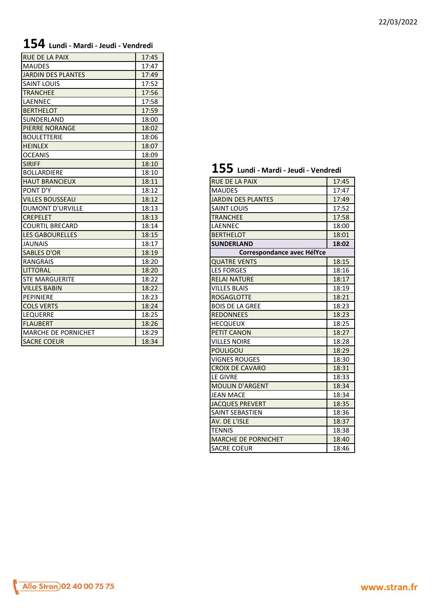# **154 Lundi - Mardi - Jeudi - Vendredi**

| <b>RUE DE LA PAIX</b>      | 17:45 |                                        |       |
|----------------------------|-------|----------------------------------------|-------|
| <b>MAUDES</b>              | 17:47 |                                        |       |
| JARDIN DES PLANTES         | 17:49 |                                        |       |
| <b>SAINT LOUIS</b>         | 17:52 |                                        |       |
| <b>TRANCHEE</b>            | 17:56 |                                        |       |
| <b>LAENNEC</b>             | 17:58 |                                        |       |
| <b>BERTHELOT</b>           | 17:59 |                                        |       |
| <b>SUNDERLAND</b>          | 18:00 |                                        |       |
| <b>PIERRE NORANGE</b>      | 18:02 |                                        |       |
| <b>BOULETTERIE</b>         | 18:06 |                                        |       |
| <b>HEINLEX</b>             | 18:07 |                                        |       |
| <b>OCEANIS</b>             | 18:09 |                                        |       |
| <b>SIRIFF</b>              | 18:10 |                                        |       |
| <b>BOLLARDIERE</b>         | 18:10 | $155$ Lundi - Mardi - Jeudi - Vendredi |       |
| <b>HAUT BRANCIEUX</b>      | 18:11 | <b>RUE DE LA PAIX</b>                  | 17:45 |
| PONT D'Y                   | 18:12 | <b>MAUDES</b>                          | 17:47 |
| <b>VILLES BOUSSEAU</b>     | 18:12 | <b>JARDIN DES PLANTES</b>              | 17:49 |
| <b>DUMONT D'URVILLE</b>    | 18:13 | <b>SAINT LOUIS</b>                     | 17:52 |
| <b>CREPELET</b>            | 18:13 | <b>TRANCHEE</b>                        | 17:58 |
| <b>ICOURTIL BRECARD</b>    | 18:14 | LAENNEC                                | 18:00 |
| <b>LES GABOURELLES</b>     | 18:15 | <b>BERTHELOT</b>                       | 18:01 |
| <b>JAUNAIS</b>             | 18:17 | <b>SUNDERLAND</b>                      | 18:02 |
| <b>SABLES D'OR</b>         | 18:19 | Correspondance avec HélYce             |       |
| <b>RANGRAIS</b>            | 18:20 | <b>QUATRE VENTS</b>                    | 18:15 |
| <b>LITTORAL</b>            | 18:20 | <b>LES FORGES</b>                      | 18:16 |
| <b>STE MARGUERITE</b>      | 18:22 | <b>RELAI NATURE</b>                    | 18:17 |
| <b>VILLES BABIN</b>        | 18:22 | <b>VILLES BLAIS</b>                    | 18:19 |
| PEPINIERE                  | 18:23 | <b>ROGAGLOTTE</b>                      | 18:21 |
| <b>COLS VERTS</b>          | 18:24 | <b>BOIS DE LA GREE</b>                 | 18:23 |
| <b>LEQUERRE</b>            | 18:25 | <b>REDONNEES</b>                       | 18:23 |
| <b>FLAUBERT</b>            | 18:26 | <b>HECQUEUX</b>                        | 18:25 |
| <b>MARCHE DE PORNICHET</b> | 18:29 | PETIT CANON                            | 18:27 |
| <b>SACRE COEUR</b>         | 18:34 | <b>VILLES NOIRE</b>                    | 18:28 |

# **155 Lundi - Mardi - Jeudi - Vendredi**

| <b>HAUT BRANCIEUX</b>      | 18:11 | <b>RUE DE LA PAIX</b>      | 17:45 |
|----------------------------|-------|----------------------------|-------|
| PONT D'Y                   | 18:12 | <b>MAUDES</b>              | 17:47 |
| <b>VILLES BOUSSEAU</b>     | 18:12 | <b>JARDIN DES PLANTES</b>  | 17:49 |
| <b>DUMONT D'URVILLE</b>    | 18:13 | <b>SAINT LOUIS</b>         | 17:52 |
| <b>CREPELET</b>            | 18:13 | <b>TRANCHEE</b>            | 17:58 |
| <b>COURTIL BRECARD</b>     | 18:14 | LAENNEC                    | 18:00 |
| <b>LES GABOURELLES</b>     | 18:15 | <b>BERTHELOT</b>           | 18:01 |
| <b>JAUNAIS</b>             | 18:17 | <b>SUNDERLAND</b>          | 18:02 |
| <b>SABLES D'OR</b>         | 18:19 | Correspondance avec HélYce |       |
| <b>RANGRAIS</b>            | 18:20 | <b>QUATRE VENTS</b>        | 18:15 |
| <b>LITTORAL</b>            | 18:20 | <b>LES FORGES</b>          | 18:16 |
| STE MARGUERITE             | 18:22 | <b>RELAI NATURE</b>        | 18:17 |
| <b>VILLES BABIN</b>        | 18:22 | <b>VILLES BLAIS</b>        | 18:19 |
| PEPINIERE                  | 18:23 | <b>ROGAGLOTTE</b>          | 18:21 |
| <b>COLS VERTS</b>          | 18:24 | <b>BOIS DE LA GREE</b>     | 18:23 |
| <b>LEQUERRE</b>            | 18:25 | <b>REDONNEES</b>           | 18:23 |
| <b>FLAUBERT</b>            | 18:26 | <b>HECQUEUX</b>            | 18:25 |
| <b>MARCHE DE PORNICHET</b> | 18:29 | <b>PETIT CANON</b>         | 18:27 |
| <b>SACRE COEUR</b>         | 18:34 | <b>VILLES NOIRE</b>        | 18:28 |
|                            |       | <b>POULIGOU</b>            | 18:29 |
|                            |       | <b>VIGNES ROUGES</b>       | 18:30 |
|                            |       | <b>CROIX DE CAVARO</b>     | 18:31 |
|                            |       | <b>LE GIVRE</b>            | 18:33 |
|                            |       | <b>MOULIN D'ARGENT</b>     | 18:34 |
|                            |       | <b>JEAN MACE</b>           | 18:34 |
|                            |       | <b>JACQUES PREVERT</b>     | 18:35 |
|                            |       | <b>SAINT SEBASTIEN</b>     | 18:36 |
|                            |       | AV. DE L'ISLE              | 18:37 |
|                            |       | <b>TENNIS</b>              | 18:38 |
|                            |       | <b>MARCHE DE PORNICHET</b> | 18:40 |
|                            |       | <b>SACRE COEUR</b>         | 18:46 |
|                            |       |                            |       |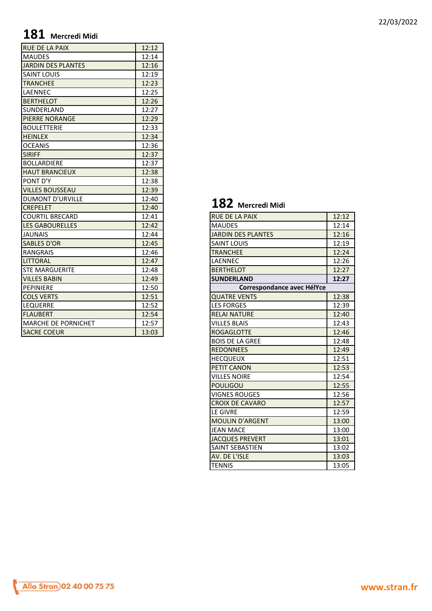# **181 Mercredi Midi**

| <b>RUE DE LA PAIX</b>      | 12:12 |                            |  |
|----------------------------|-------|----------------------------|--|
| <b>MAUDES</b>              | 12:14 |                            |  |
| <b>JARDIN DES PLANTES</b>  | 12:16 |                            |  |
| <b>SAINT LOUIS</b>         | 12:19 |                            |  |
| <b>TRANCHEE</b>            | 12:23 |                            |  |
| LAENNEC                    | 12:25 |                            |  |
| <b>BERTHELOT</b>           | 12:26 |                            |  |
| SUNDERLAND                 | 12:27 |                            |  |
| <b>PIERRE NORANGE</b>      | 12:29 |                            |  |
| <b>BOULETTERIE</b>         | 12:33 |                            |  |
| <b>HEINLEX</b>             | 12:34 |                            |  |
| <b>OCEANIS</b>             | 12:36 |                            |  |
| <b>SIRIFF</b>              | 12:37 |                            |  |
| <b>BOLLARDIERE</b>         | 12:37 |                            |  |
| <b>HAUT BRANCIEUX</b>      | 12:38 |                            |  |
| PONT D'Y                   | 12:38 |                            |  |
| <b>VILLES BOUSSEAU</b>     | 12:39 |                            |  |
| <b>DUMONT D'URVILLE</b>    | 12:40 |                            |  |
| <b>CREPELET</b>            | 12:40 | 182 Mercredi Midi          |  |
| <b>COURTIL BRECARD</b>     | 12:41 | <b>RUE DE LA PAIX</b>      |  |
| <b>LES GABOURELLES</b>     | 12:42 | <b>MAUDES</b>              |  |
| <b>JAUNAIS</b>             | 12:44 | <b>JARDIN DES PLANTES</b>  |  |
| <b>SABLES D'OR</b>         | 12:45 | <b>SAINT LOUIS</b>         |  |
| <b>RANGRAIS</b>            | 12:46 | <b>TRANCHEE</b>            |  |
| <b>LITTORAL</b>            | 12:47 | LAENNEC                    |  |
| <b>STE MARGUERITE</b>      | 12:48 | <b>BERTHELOT</b>           |  |
| <b>VILLES BABIN</b>        | 12:49 | <b>SUNDERLAND</b>          |  |
| PEPINIERE                  | 12:50 | Correspondance avec HélYce |  |
| <b>COLS VERTS</b>          | 12:51 | <b>QUATRE VENTS</b>        |  |
| LEQUERRE                   | 12:52 | <b>LES FORGES</b>          |  |
| <b>FLAUBERT</b>            | 12:54 | <b>RELAI NATURE</b>        |  |
| <b>MARCHE DE PORNICHET</b> | 12:57 | <b>VILLES BLAIS</b>        |  |
| <b>SACRE COEUR</b>         | 13:03 | <b>ROGAGLOTTE</b>          |  |
|                            |       |                            |  |

### **182 Mercredi Midi**

| 12:12<br><b>RUE DE LA PAIX</b><br><b>MAUDES</b><br>12:14<br><b>JARDIN DES PLANTES</b><br>12:16<br><b>SAINT LOUIS</b><br>12:19<br><b>TRANCHEE</b><br>12:24<br>LAENNEC<br>12:26<br><b>BERTHELOT</b><br>12:27<br><b>SUNDERLAND</b><br>12:27<br>Correspondance avec HélYce<br><b>QUATRE VENTS</b><br>12:38<br><b>LES FORGES</b><br>12:39<br><b>RELAI NATURE</b><br>12:40<br><b>VILLES BLAIS</b><br>12:43<br><b>ROGAGLOTTE</b><br>12:46<br><b>BOIS DE LA GREE</b><br>12:48<br><b>REDONNEES</b><br>12:49<br>12:51<br><b>HECQUEUX</b><br>12:53<br><b>VILLES NOIRE</b><br>12:54<br><b>POULIGOU</b><br>12:55<br><b>VIGNES ROUGES</b><br>12:56<br><b>CROIX DE CAVARO</b><br>12:57<br>12:59<br><b>LE GIVRE</b><br><b>MOULIN D'ARGENT</b><br>13:00<br><b>JEAN MACE</b><br>13:00<br><b>JACQUES PREVERT</b><br>13:01<br><b>SAINT SEBASTIEN</b><br>13:02<br>AV. DE L'ISLE<br>13:03<br><b>TENNIS</b><br>13:05 | ∸∪←<br>IVIEI LI EUI IVIIUI |  |
|-----------------------------------------------------------------------------------------------------------------------------------------------------------------------------------------------------------------------------------------------------------------------------------------------------------------------------------------------------------------------------------------------------------------------------------------------------------------------------------------------------------------------------------------------------------------------------------------------------------------------------------------------------------------------------------------------------------------------------------------------------------------------------------------------------------------------------------------------------------------------------------------------|----------------------------|--|
|                                                                                                                                                                                                                                                                                                                                                                                                                                                                                                                                                                                                                                                                                                                                                                                                                                                                                               |                            |  |
|                                                                                                                                                                                                                                                                                                                                                                                                                                                                                                                                                                                                                                                                                                                                                                                                                                                                                               |                            |  |
|                                                                                                                                                                                                                                                                                                                                                                                                                                                                                                                                                                                                                                                                                                                                                                                                                                                                                               |                            |  |
|                                                                                                                                                                                                                                                                                                                                                                                                                                                                                                                                                                                                                                                                                                                                                                                                                                                                                               |                            |  |
|                                                                                                                                                                                                                                                                                                                                                                                                                                                                                                                                                                                                                                                                                                                                                                                                                                                                                               |                            |  |
|                                                                                                                                                                                                                                                                                                                                                                                                                                                                                                                                                                                                                                                                                                                                                                                                                                                                                               |                            |  |
|                                                                                                                                                                                                                                                                                                                                                                                                                                                                                                                                                                                                                                                                                                                                                                                                                                                                                               |                            |  |
|                                                                                                                                                                                                                                                                                                                                                                                                                                                                                                                                                                                                                                                                                                                                                                                                                                                                                               |                            |  |
|                                                                                                                                                                                                                                                                                                                                                                                                                                                                                                                                                                                                                                                                                                                                                                                                                                                                                               |                            |  |
|                                                                                                                                                                                                                                                                                                                                                                                                                                                                                                                                                                                                                                                                                                                                                                                                                                                                                               |                            |  |
|                                                                                                                                                                                                                                                                                                                                                                                                                                                                                                                                                                                                                                                                                                                                                                                                                                                                                               |                            |  |
|                                                                                                                                                                                                                                                                                                                                                                                                                                                                                                                                                                                                                                                                                                                                                                                                                                                                                               |                            |  |
|                                                                                                                                                                                                                                                                                                                                                                                                                                                                                                                                                                                                                                                                                                                                                                                                                                                                                               |                            |  |
|                                                                                                                                                                                                                                                                                                                                                                                                                                                                                                                                                                                                                                                                                                                                                                                                                                                                                               |                            |  |
|                                                                                                                                                                                                                                                                                                                                                                                                                                                                                                                                                                                                                                                                                                                                                                                                                                                                                               |                            |  |
|                                                                                                                                                                                                                                                                                                                                                                                                                                                                                                                                                                                                                                                                                                                                                                                                                                                                                               |                            |  |
|                                                                                                                                                                                                                                                                                                                                                                                                                                                                                                                                                                                                                                                                                                                                                                                                                                                                                               |                            |  |
|                                                                                                                                                                                                                                                                                                                                                                                                                                                                                                                                                                                                                                                                                                                                                                                                                                                                                               | <b>PETIT CANON</b>         |  |
|                                                                                                                                                                                                                                                                                                                                                                                                                                                                                                                                                                                                                                                                                                                                                                                                                                                                                               |                            |  |
|                                                                                                                                                                                                                                                                                                                                                                                                                                                                                                                                                                                                                                                                                                                                                                                                                                                                                               |                            |  |
|                                                                                                                                                                                                                                                                                                                                                                                                                                                                                                                                                                                                                                                                                                                                                                                                                                                                                               |                            |  |
|                                                                                                                                                                                                                                                                                                                                                                                                                                                                                                                                                                                                                                                                                                                                                                                                                                                                                               |                            |  |
|                                                                                                                                                                                                                                                                                                                                                                                                                                                                                                                                                                                                                                                                                                                                                                                                                                                                                               |                            |  |
|                                                                                                                                                                                                                                                                                                                                                                                                                                                                                                                                                                                                                                                                                                                                                                                                                                                                                               |                            |  |
|                                                                                                                                                                                                                                                                                                                                                                                                                                                                                                                                                                                                                                                                                                                                                                                                                                                                                               |                            |  |
|                                                                                                                                                                                                                                                                                                                                                                                                                                                                                                                                                                                                                                                                                                                                                                                                                                                                                               |                            |  |
|                                                                                                                                                                                                                                                                                                                                                                                                                                                                                                                                                                                                                                                                                                                                                                                                                                                                                               |                            |  |
|                                                                                                                                                                                                                                                                                                                                                                                                                                                                                                                                                                                                                                                                                                                                                                                                                                                                                               |                            |  |
|                                                                                                                                                                                                                                                                                                                                                                                                                                                                                                                                                                                                                                                                                                                                                                                                                                                                                               |                            |  |